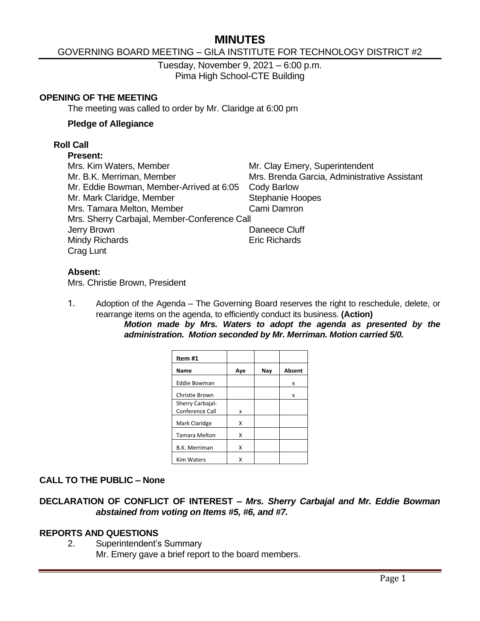# **MINUTES**

### GOVERNING BOARD MEETING – GILA INSTITUTE FOR TECHNOLOGY DISTRICT #2

Tuesday, November 9, 2021 – 6:00 p.m. Pima High School-CTE Building

#### **OPENING OF THE MEETING**

The meeting was called to order by Mr. Claridge at 6:00 pm

#### **Pledge of Allegiance**

#### **Roll Call**

#### **Present:**

| Mrs. Kim Waters, Member                      | Mr. Clay Emery, Superintendent               |
|----------------------------------------------|----------------------------------------------|
| Mr. B.K. Merriman, Member                    | Mrs. Brenda Garcia, Administrative Assistant |
| Mr. Eddie Bowman, Member-Arrived at 6:05     | <b>Cody Barlow</b>                           |
| Mr. Mark Claridge, Member                    | <b>Stephanie Hoopes</b>                      |
| Mrs. Tamara Melton, Member                   | Cami Damron                                  |
| Mrs. Sherry Carbajal, Member-Conference Call |                                              |
| Jerry Brown                                  | Daneece Cluff                                |
| Mindy Richards                               | <b>Eric Richards</b>                         |
| Crag Lunt                                    |                                              |
|                                              |                                              |

#### **Absent:**

Mrs. Christie Brown, President

1. Adoption of the Agenda – The Governing Board reserves the right to reschedule, delete, or rearrange items on the agenda, to efficiently conduct its business. **(Action)**

*Motion made by Mrs. Waters to adopt the agenda as presented by the administration. Motion seconded by Mr. Merriman. Motion carried 5/0.*

| Item#1               |     |     |        |
|----------------------|-----|-----|--------|
| Name                 | Aye | Nay | Absent |
| <b>Eddie Bowman</b>  |     |     | x      |
| Christie Brown       |     |     | x      |
| Sherry Carbajal-     |     |     |        |
| Conference Call      | x   |     |        |
| Mark Claridge        | x   |     |        |
| <b>Tamara Melton</b> | x   |     |        |
| <b>B.K. Merriman</b> | x   |     |        |
| <b>Kim Waters</b>    | x   |     |        |

### **CALL TO THE PUBLIC – None**

### **DECLARATION OF CONFLICT OF INTEREST –** *Mrs. Sherry Carbajal and Mr. Eddie Bowman abstained from voting on Items #5, #6, and #7.*

#### **REPORTS AND QUESTIONS**

2. Superintendent's Summary Mr. Emery gave a brief report to the board members.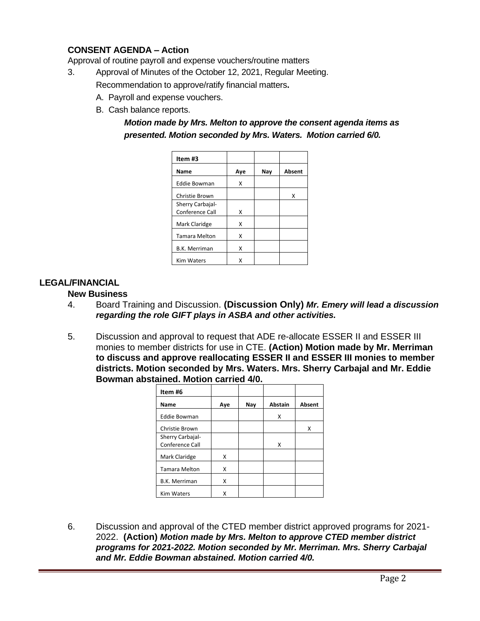# **CONSENT AGENDA – Action**

Approval of routine payroll and expense vouchers/routine matters

- 3. Approval of Minutes of the October 12, 2021, Regular Meeting. Recommendation to approve/ratify financial matters**.**
	- A. Payroll and expense vouchers.
	- B. Cash balance reports.

# *Motion made by Mrs. Melton to approve the consent agenda items as presented. Motion seconded by Mrs. Waters. Motion carried 6/0.*

| Item #3              |     |     |        |
|----------------------|-----|-----|--------|
| Name                 | Ave | Nav | Absent |
| <b>Eddie Bowman</b>  | X   |     |        |
| Christie Brown       |     |     | x      |
| Sherry Carbajal-     |     |     |        |
| Conference Call      | x   |     |        |
| Mark Claridge        | x   |     |        |
| <b>Tamara Melton</b> | x   |     |        |
| <b>B.K. Merriman</b> | x   |     |        |
| <b>Kim Waters</b>    | χ   |     |        |

### **LEGAL/FINANCIAL**

#### **New Business**

- 4. Board Training and Discussion. **(Discussion Only)** *Mr. Emery will lead a discussion regarding the role GIFT plays in ASBA and other activities.*
- 5. Discussion and approval to request that ADE re-allocate ESSER II and ESSER III monies to member districts for use in CTE. **(Action) Motion made by Mr. Merriman to discuss and approve reallocating ESSER II and ESSER III monies to member districts. Motion seconded by Mrs. Waters. Mrs. Sherry Carbajal and Mr. Eddie Bowman abstained. Motion carried 4/0.**

| Item #6                             |     |     |                |               |
|-------------------------------------|-----|-----|----------------|---------------|
| Name                                | Aye | Nay | <b>Abstain</b> | <b>Absent</b> |
| <b>Eddie Bowman</b>                 |     |     | x              |               |
| Christie Brown                      |     |     |                | Χ             |
| Sherry Carbajal-<br>Conference Call |     |     | x              |               |
| Mark Claridge                       | X   |     |                |               |
| <b>Tamara Melton</b>                | X   |     |                |               |
| <b>B.K. Merriman</b>                | x   |     |                |               |
| <b>Kim Waters</b>                   | x   |     |                |               |

6. Discussion and approval of the CTED member district approved programs for 2021- 2022. **(Action)** *Motion made by Mrs. Melton to approve CTED member district programs for 2021-2022. Motion seconded by Mr. Merriman. Mrs. Sherry Carbajal and Mr. Eddie Bowman abstained. Motion carried 4/0.*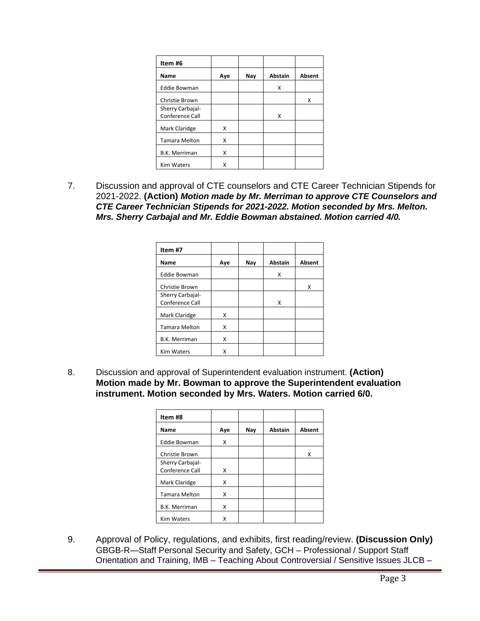| Item #6              |     |     |                |        |
|----------------------|-----|-----|----------------|--------|
| Name                 | Aye | Nay | <b>Abstain</b> | Absent |
| <b>Eddie Bowman</b>  |     |     | x              |        |
| Christie Brown       |     |     |                | x      |
| Sherry Carbajal-     |     |     |                |        |
| Conference Call      |     |     | x              |        |
| Mark Claridge        | X   |     |                |        |
| <b>Tamara Melton</b> | X   |     |                |        |
| <b>B.K. Merriman</b> | X   |     |                |        |
| <b>Kim Waters</b>    | x   |     |                |        |

7. Discussion and approval of CTE counselors and CTE Career Technician Stipends for 2021-2022. **(Action)** *Motion made by Mr. Merriman to approve CTE Counselors and CTE Career Technician Stipends for 2021-2022. Motion seconded by Mrs. Melton. Mrs. Sherry Carbajal and Mr. Eddie Bowman abstained. Motion carried 4/0.*

| Item #7              |     |     |                |               |
|----------------------|-----|-----|----------------|---------------|
| Name                 | Aye | Nay | <b>Abstain</b> | <b>Absent</b> |
| <b>Eddie Bowman</b>  |     |     | X              |               |
| Christie Brown       |     |     |                | x             |
| Sherry Carbajal-     |     |     |                |               |
| Conference Call      |     |     | X              |               |
| Mark Claridge        | x   |     |                |               |
| <b>Tamara Melton</b> | X   |     |                |               |
| <b>B.K. Merriman</b> | X   |     |                |               |
| <b>Kim Waters</b>    | x   |     |                |               |

8. Discussion and approval of Superintendent evaluation instrument. **(Action) Motion made by Mr. Bowman to approve the Superintendent evaluation instrument. Motion seconded by Mrs. Waters. Motion carried 6/0.**

| Item #8              |     |     |         |        |
|----------------------|-----|-----|---------|--------|
| Name                 | Aye | Nay | Abstain | Absent |
| <b>Eddie Bowman</b>  | X   |     |         |        |
| Christie Brown       |     |     |         | x      |
| Sherry Carbajal-     |     |     |         |        |
| Conference Call      | X   |     |         |        |
| Mark Claridge        | X   |     |         |        |
| <b>Tamara Melton</b> | x   |     |         |        |
| <b>B.K. Merriman</b> | X   |     |         |        |
| <b>Kim Waters</b>    | x   |     |         |        |

9. Approval of Policy, regulations, and exhibits, first reading/review. **(Discussion Only)** GBGB-R—Staff Personal Security and Safety, GCH – Professional / Support Staff Orientation and Training, IMB – Teaching About Controversial / Sensitive Issues JLCB –